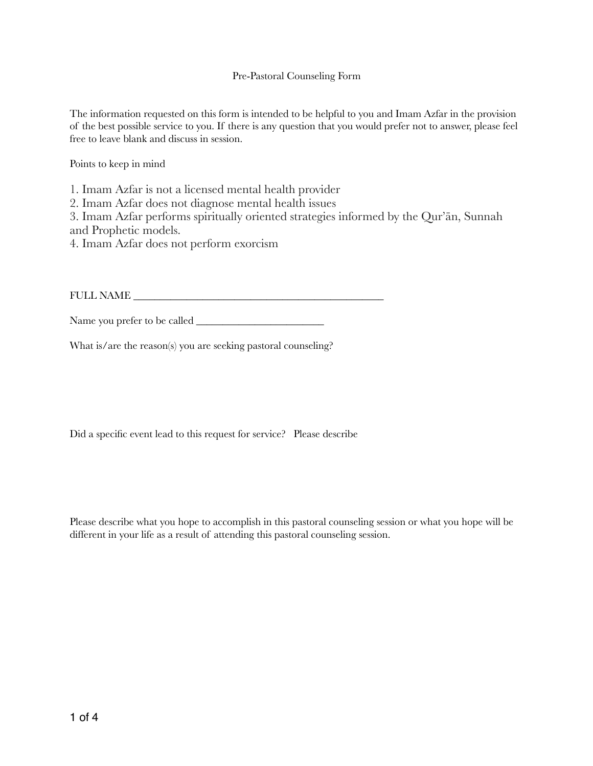## Pre-Pastoral Counseling Form

The information requested on this form is intended to be helpful to you and Imam Azfar in the provision of the best possible service to you. If there is any question that you would prefer not to answer, please feel free to leave blank and discuss in session.

Points to keep in mind

1. Imam Azfar is not a licensed mental health provider

2. Imam Azfar does not diagnose mental health issues

3. Imam Azfar performs spiritually oriented strategies informed by the Qur'ān, Sunnah and Prophetic models.

4. Imam Azfar does not perform exorcism

FULL NAME \_\_\_\_\_\_\_\_\_\_\_\_\_\_\_\_\_\_\_\_\_\_\_\_\_\_\_\_\_\_\_\_\_\_\_\_\_\_\_\_\_\_\_\_\_\_\_

Name you prefer to be called \_\_\_\_\_\_\_\_\_\_\_\_\_\_\_\_\_\_\_\_\_\_\_\_

What is/are the reason(s) you are seeking pastoral counseling?

Did a specific event lead to this request for service? Please describe

Please describe what you hope to accomplish in this pastoral counseling session or what you hope will be different in your life as a result of attending this pastoral counseling session.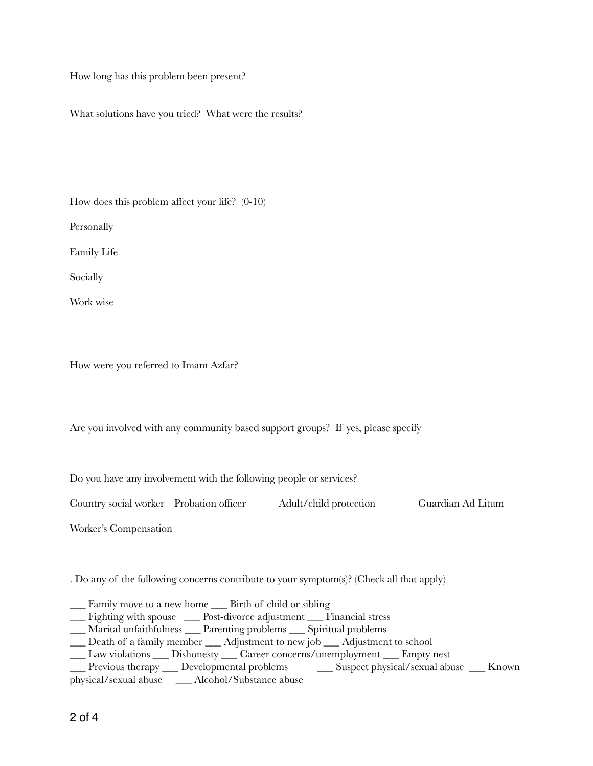How long has this problem been present?

What solutions have you tried? What were the results?

How does this problem affect your life? (0-10) **Personally** Family Life Socially Work wise

How were you referred to Imam Azfar?

Are you involved with any community based support groups? If yes, please specify

Do you have any involvement with the following people or services?

Country social worker Probation officer Adult/child protection Guardian Ad Litum

Worker's Compensation

. Do any of the following concerns contribute to your symptom(s)? (Check all that apply)

\_\_\_ Family move to a new home \_\_\_ Birth of child or sibling

\_\_\_ Fighting with spouse \_\_\_ Post-divorce adjustment \_\_\_ Financial stress

- \_\_\_ Marital unfaithfulness \_\_\_ Parenting problems \_\_\_ Spiritual problems
- \_\_\_ Death of a family member \_\_\_ Adjustment to new job \_\_\_ Adjustment to school
- \_\_\_ Law violations \_\_\_ Dishonesty \_\_\_ Career concerns/unemployment \_\_\_ Empty nest

\_\_\_ Previous therapy \_\_\_ Developmental problems \_\_\_ Suspect physical/sexual abuse \_\_\_ Known

physical/sexual abuse \_\_\_ Alcohol/Substance abuse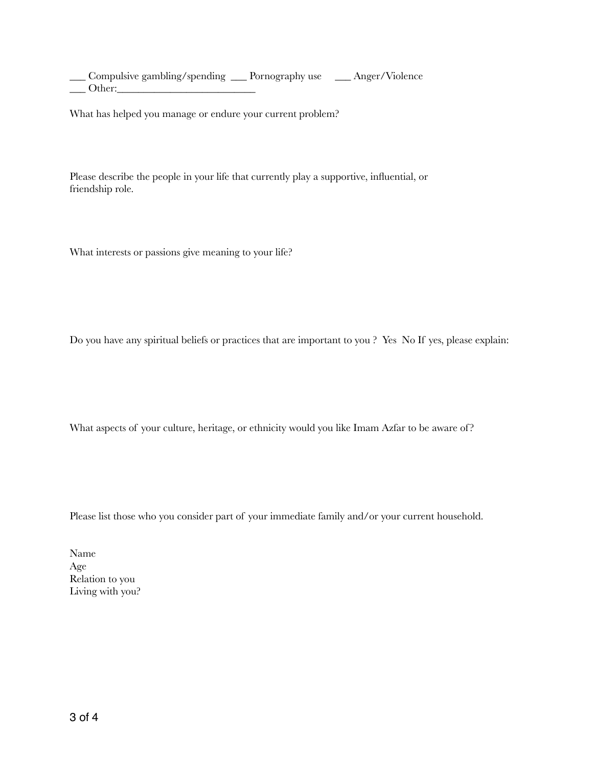\_\_\_ Compulsive gambling/spending \_\_\_ Pornography use \_\_\_ Anger/Violence \_\_\_ Other:\_\_\_\_\_\_\_\_\_\_\_\_\_\_\_\_\_\_\_\_\_\_\_\_\_\_

What has helped you manage or endure your current problem?

Please describe the people in your life that currently play a supportive, influential, or friendship role.

What interests or passions give meaning to your life?

Do you have any spiritual beliefs or practices that are important to you ? Yes No If yes, please explain:

What aspects of your culture, heritage, or ethnicity would you like Imam Azfar to be aware of?

Please list those who you consider part of your immediate family and/or your current household.

Name Age Relation to you Living with you?